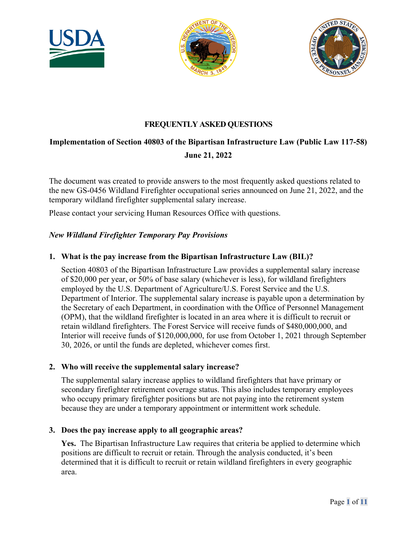





# **FREQUENTLY ASKED QUESTIONS**

# **Implementation of Section 40803 of the Bipartisan Infrastructure Law (Public Law 117-58) June 21, 2022**

The document was created to provide answers to the most frequently asked questions related to the new GS-0456 Wildland Firefighter occupational series announced on June 21, 2022, and the temporary wildland firefighter supplemental salary increase.

Please contact your servicing Human Resources Office with questions.

#### *New Wildland Firefighter Temporary Pay Provisions*

#### **1. What is the pay increase from the Bipartisan Infrastructure Law (BIL)?**

 of \$20,000 per year, or 50% of base salary (whichever is less), for wildland firefighters employed by the U.S. Department of Agriculture/U.S. Forest Service and the U.S. Section 40803 of the Bipartisan Infrastructure Law provides a supplemental salary increase Department of Interior. The supplemental salary increase is payable upon a determination by the Secretary of each Department, in coordination with the Office of Personnel Management (OPM), that the wildland firefighter is located in an area where it is difficult to recruit or retain wildland firefighters. The Forest Service will receive funds of \$480,000,000, and Interior will receive funds of \$120,000,000, for use from October 1, 2021 through September 30, 2026, or until the funds are depleted, whichever comes first.

#### **2. Who will receive the supplemental salary increase?**

 secondary firefighter retirement coverage status. This also includes temporary employees The supplemental salary increase applies to wildland firefighters that have primary or who occupy primary firefighter positions but are not paying into the retirement system because they are under a temporary appointment or intermittent work schedule.

#### **3. Does the pay increase apply to all geographic areas?**

 **Yes.** The Bipartisan Infrastructure Law requires that criteria be applied to determine which positions are difficult to recruit or retain. Through the analysis conducted, it's been determined that it is difficult to recruit or retain wildland firefighters in every geographic area.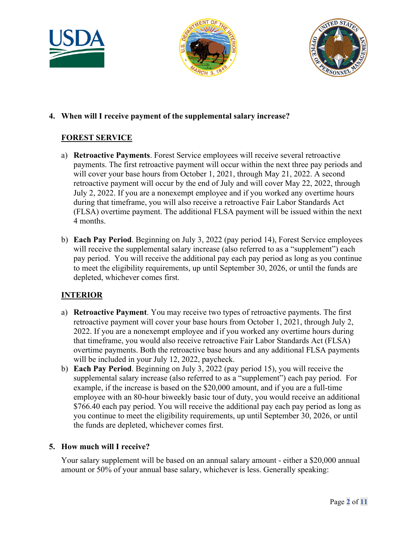





# **4. When will I receive payment of the supplemental salary increase?**

# **FOREST SERVICE**

- a) **Retroactive Payments**. Forest Service employees will receive several retroactive payments. The first retroactive payment will occur within the next three pay periods and will cover your base hours from October 1, 2021, through May 21, 2022. A second retroactive payment will occur by the end of July and will cover May 22, 2022, through July 2, 2022. If you are a nonexempt employee and if you worked any overtime hours during that timeframe, you will also receive a retroactive Fair Labor Standards Act (FLSA) overtime payment. The additional FLSA payment will be issued within the next 4 months.
- to meet the eligibility requirements, up until September 30, 2026, or until the funds are b) **Each Pay Period**. Beginning on July 3, 2022 (pay period 14), Forest Service employees will receive the supplemental salary increase (also referred to as a "supplement") each pay period. You will receive the additional pay each pay period as long as you continue depleted, whichever comes first.

# **INTERIOR**

- will be included in your July 12, 2022, paycheck. a) **Retroactive Payment**. You may receive two types of retroactive payments. The first retroactive payment will cover your base hours from October 1, 2021, through July 2, 2022. If you are a nonexempt employee and if you worked any overtime hours during that timeframe, you would also receive retroactive Fair Labor Standards Act (FLSA) overtime payments. Both the retroactive base hours and any additional FLSA payments
- will be included in your July 12, 2022, paycheck.<br>b) **Each Pay Period**. Beginning on July 3, 2022 (pay period 15), you will receive the example, if the increase is based on the \$20,000 amount, and if you are a full-time supplemental salary increase (also referred to as a "supplement") each pay period. For employee with an 80-hour biweekly basic tour of duty, you would receive an additional \$766.40 each pay period. You will receive the additional pay each pay period as long as you continue to meet the eligibility requirements, up until September 30, 2026, or until the funds are depleted, whichever comes first.

# **5. How much will I receive?**

 amount or 50% of your annual base salary, whichever is less. Generally speaking: Your salary supplement will be based on an annual salary amount - either a \$20,000 annual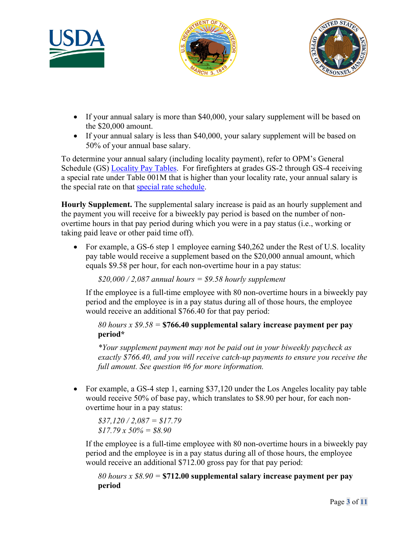





- If your annual salary is more than \$40,000, your salary supplement will be based on the \$20,000 amount.
- 50% of your annual base salary. • If your annual salary is less than \$40,000, your salary supplement will be based on

 To determine your annual salary (including locality payment), refer to OPM's General Schedule (GS) **Locality Pay Tables**. For firefighters at grades GS-2 through GS-4 receiving the special rate on that [special rate schedule.](https://apps.opm.gov/SpecialRates/2022/Table001M01302022.aspx) a special rate under Table 001M that is higher than your locality rate, your annual salary is

**Hourly Supplement.** The supplemental salary increase is paid as an hourly supplement and the payment you will receive for a biweekly pay period is based on the number of nonovertime hours in that pay period during which you were in a pay status (i.e., working or taking paid leave or other paid time off).

• For example, a GS-6 step 1 employee earning \$40,262 under the Rest of U.S. locality pay table would receive a supplement based on the \$20,000 annual amount, which equals \$9.58 per hour, for each non-overtime hour in a pay status:

*\$20,000 / 2,087 annual hours = \$9.58 hourly supplement* 

If the employee is a full-time employee with 80 non-overtime hours in a biweekly pay period and the employee is in a pay status during all of those hours, the employee would receive an additional \$766.40 for that pay period:

*80 hours x \$9.58 =* **\$766.40 supplemental salary increase payment per pay period\*** 

 *\*Your supplement payment may not be paid out in your biweekly paycheck as exactly \$766.40, and you will receive catch-up payments to ensure you receive the full amount. See question #6 for more information.* 

• For example, a GS-4 step 1, earning \$37,120 under the Los Angeles locality pay table would receive 50% of base pay, which translates to \$8.90 per hour, for each nonovertime hour in a pay status:

*\$37,120 / 2,087 = \$17.79 \$17.79 x 50% = \$8.90* 

If the employee is a full-time employee with 80 non-overtime hours in a biweekly pay period and the employee is in a pay status during all of those hours, the employee would receive an additional \$712.00 gross pay for that pay period:

*80 hours x \$8.90 =* **\$712.00 supplemental salary increase payment per pay period**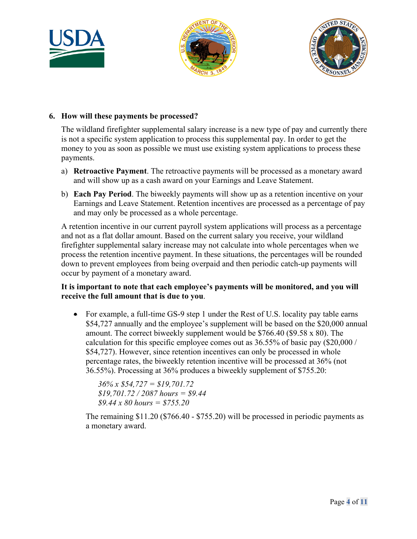





#### **6. How will these payments be processed?**

 money to you as soon as possible we must use existing system applications to process these The wildland firefighter supplemental salary increase is a new type of pay and currently there is not a specific system application to process this supplemental pay. In order to get the payments.

- a) **Retroactive Payment**. The retroactive payments will be processed as a monetary award and will show up as a cash award on your Earnings and Leave Statement.
- b) **Each Pay Period**. The biweekly payments will show up as a retention incentive on your Earnings and Leave Statement. Retention incentives are processed as a percentage of pay and may only be processed as a whole percentage.

 process the retention incentive payment. In these situations, the percentages will be rounded A retention incentive in our current payroll system applications will process as a percentage and not as a flat dollar amount. Based on the current salary you receive, your wildland firefighter supplemental salary increase may not calculate into whole percentages when we down to prevent employees from being overpaid and then periodic catch-up payments will occur by payment of a monetary award.

## **It is important to note that each employee's payments will be monitored, and you will receive the full amount that is due to you**.

• For example, a full-time GS-9 step 1 under the Rest of U.S. locality pay table earns \$54,727 annually and the employee's supplement will be based on the \$20,000 annual amount. The correct biweekly supplement would be \$766.40 (\$9.58 x 80). The calculation for this specific employee comes out as 36.55% of basic pay (\$20,000 / \$54,727). However, since retention incentives can only be processed in whole percentage rates, the biweekly retention incentive will be processed at 36% (not 36.55%). Processing at 36% produces a biweekly supplement of \$755.20:

*36% x \$54,727 = [\\$19,701.72](https://19,701.72) [\\$19,701.72](https://19,701.72) / 2087 hours = \$9.44 \$9.44 x 80 hours = \$755.20* 

The remaining \$11.20 (\$766.40 - \$755.20) will be processed in periodic payments as a monetary award.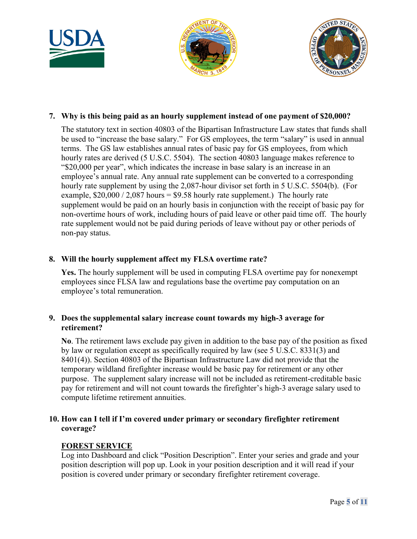





## **7. Why is this being paid as an hourly supplement instead of one payment of \$20,000?**

 The statutory text in section 40803 of the Bipartisan Infrastructure Law states that funds shall terms. The GS law establishes annual rates of basic pay for GS employees, from which hourly rate supplement by using the 2,087-hour divisor set forth in 5 U.S.C. 5504(b). (For be used to "increase the base salary." For GS employees, the term "salary" is used in annual hourly rates are derived (5 U.S.C. 5504). The section 40803 language makes reference to "\$20,000 per year", which indicates the increase in base salary is an increase in an employee's annual rate. Any annual rate supplement can be converted to a corresponding example,  $$20,000 / 2,087$  hours =  $$9.58$  hourly rate supplement.) The hourly rate supplement would be paid on an hourly basis in conjunction with the receipt of basic pay for non-overtime hours of work, including hours of paid leave or other paid time off. The hourly rate supplement would not be paid during periods of leave without pay or other periods of non-pay status.

#### **8. Will the hourly supplement affect my FLSA overtime rate?**

**Yes.** The hourly supplement will be used in computing FLSA overtime pay for nonexempt employees since FLSA law and regulations base the overtime pay computation on an employee's total remuneration.

#### **9. Does the supplemental salary increase count towards my high-3 average for retirement?**

 temporary wildland firefighter increase would be basic pay for retirement or any other pay for retirement and will not count towards the firefighter's high-3 average salary used to compute lifetime retirement annuities. **No**. The retirement laws exclude pay given in addition to the base pay of the position as fixed by law or regulation except as specifically required by law (see 5 U.S.C. 8331(3) and 8401(4)). Section 40803 of the Bipartisan Infrastructure Law did not provide that the purpose. The supplement salary increase will not be included as retirement-creditable basic

# **10. How can I tell if I'm covered under primary or secondary firefighter retirement coverage?**

# **FOREST SERVICE**

 position description will pop up. Look in your position description and it will read if your Log into Dashboard and click "Position Description". Enter your series and grade and your position is covered under primary or secondary firefighter retirement coverage.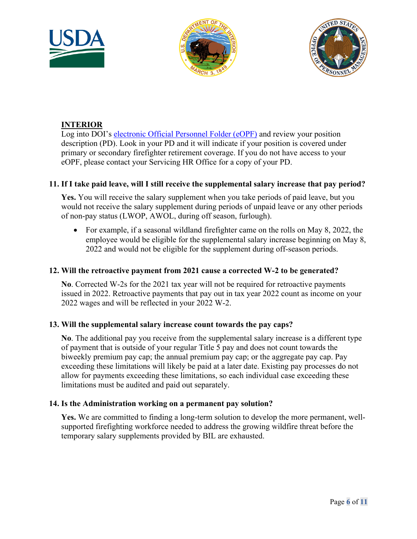





# **INTERIOR**

 primary or secondary firefighter retirement coverage. If you do not have access to your Log into DOI's [electronic Official Personnel Folder \(eOPF\)](https://eopf.opm.gov/DOI) and review your position description (PD). Look in your PD and it will indicate if your position is covered under eOPF, please contact your Servicing HR Office for a copy of your PD.

## **11. If I take paid leave, will I still receive the supplemental salary increase that pay period?**

**Yes.** You will receive the salary supplement when you take periods of paid leave, but you would not receive the salary supplement during periods of unpaid leave or any other periods of non-pay status (LWOP, AWOL, during off season, furlough).

• For example, if a seasonal wildland firefighter came on the rolls on May 8, 2022, the employee would be eligible for the supplemental salary increase beginning on May 8, 2022 and would not be eligible for the supplement during off-season periods.

#### **12. Will the retroactive payment from 2021 cause a corrected W-2 to be generated?**

 issued in 2022. Retroactive payments that pay out in tax year 2022 count as income on your **No**. Corrected W-2s for the 2021 tax year will not be required for retroactive payments 2022 wages and will be reflected in your 2022 W-2.

#### **13. Will the supplemental salary increase count towards the pay caps?**

 of payment that is outside of your regular Title 5 pay and does not count towards the exceeding these limitations will likely be paid at a later date. Existing pay processes do not limitations must be audited and paid out separately. **No**. The additional pay you receive from the supplemental salary increase is a different type biweekly premium pay cap; the annual premium pay cap; or the aggregate pay cap. Pay allow for payments exceeding these limitations, so each individual case exceeding these

#### **14. Is the Administration working on a permanent pay solution?**

 supported firefighting workforce needed to address the growing wildfire threat before the **Yes.** We are committed to finding a long-term solution to develop the more permanent, welltemporary salary supplements provided by BIL are exhausted.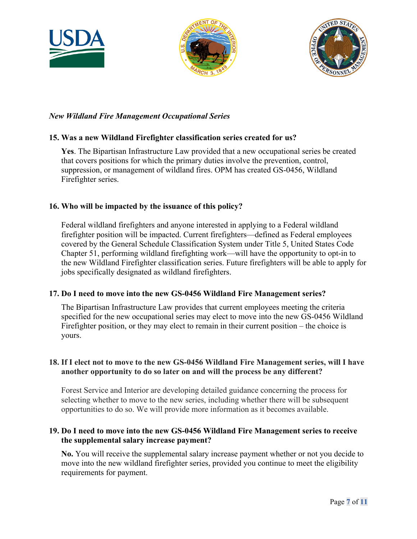





## *New Wildland Fire Management Occupational Series*

#### **15. Was a new Wildland Firefighter classification series created for us?**

 that covers positions for which the primary duties involve the prevention, control, **Yes**. The Bipartisan Infrastructure Law provided that a new occupational series be created suppression, or management of wildland fires. OPM has created GS-0456, Wildland Firefighter series.

#### **16. Who will be impacted by the issuance of this policy?**

 covered by the General Schedule Classification System under Title 5, United States Code Federal wildland firefighters and anyone interested in applying to a Federal wildland firefighter position will be impacted. Current firefighters—defined as Federal employees Chapter 51, performing wildland firefighting work—will have the opportunity to opt-in to the new Wildland Firefighter classification series. Future firefighters will be able to apply for jobs specifically designated as wildland firefighters.

#### **17. Do I need to move into the new GS-0456 Wildland Fire Management series?**

 The Bipartisan Infrastructure Law provides that current employees meeting the criteria specified for the new occupational series may elect to move into the new GS-0456 Wildland Firefighter position, or they may elect to remain in their current position – the choice is yours.

#### **18. If I elect not to move to the new GS-0456 Wildland Fire Management series, will I have another opportunity to do so later on and will the process be any different?**

Forest Service and Interior are developing detailed guidance concerning the process for selecting whether to move to the new series, including whether there will be subsequent opportunities to do so. We will provide more information as it becomes available.

## **19. Do I need to move into the new GS-0456 Wildland Fire Management series to receive the supplemental salary increase payment?**

**No.** You will receive the supplemental salary increase payment whether or not you decide to move into the new wildland firefighter series, provided you continue to meet the eligibility requirements for payment.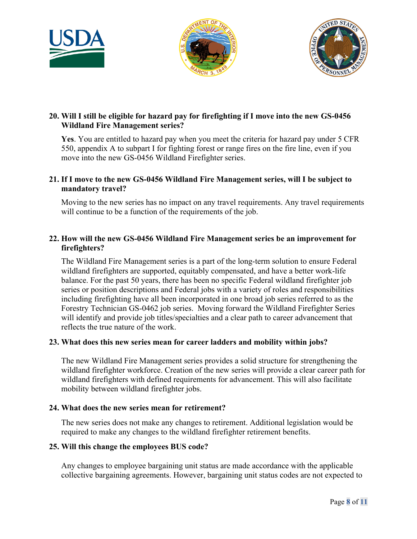





## **20. Will I still be eligible for hazard pay for firefighting if I move into the new GS-0456 Wildland Fire Management series?**

 550, appendix A to subpart I for fighting forest or range fires on the fire line, even if you move into the new GS-0456 Wildland Firefighter series. **Yes**. You are entitled to hazard pay when you meet the criteria for hazard pay under 5 CFR

#### **21. If I move to the new GS-0456 Wildland Fire Management series, will I be subject to mandatory travel?**

Moving to the new series has no impact on any travel requirements. Any travel requirements will continue to be a function of the requirements of the job.

#### **22. How will the new GS-0456 Wildland Fire Management series be an improvement for firefighters?**

 series or position descriptions and Federal jobs with a variety of roles and responsibilities The Wildland Fire Management series is a part of the long-term solution to ensure Federal wildland firefighters are supported, equitably compensated, and have a better work-life balance. For the past 50 years, there has been no specific Federal wildland firefighter job including firefighting have all been incorporated in one broad job series referred to as the Forestry Technician GS-0462 job series. Moving forward the Wildland Firefighter Series will identify and provide job titles/specialties and a clear path to career advancement that reflects the true nature of the work.

#### **23. What does this new series mean for career ladders and mobility within jobs?**

The new Wildland Fire Management series provides a solid structure for strengthening the wildland firefighter workforce. Creation of the new series will provide a clear career path for wildland firefighters with defined requirements for advancement. This will also facilitate mobility between wildland firefighter jobs.

#### **24. What does the new series mean for retirement?**

 required to make any changes to the wildland firefighter retirement benefits. The new series does not make any changes to retirement. Additional legislation would be

#### **25. Will this change the employees BUS code?**

Any changes to employee bargaining unit status are made accordance with the applicable collective bargaining agreements. However, bargaining unit status codes are not expected to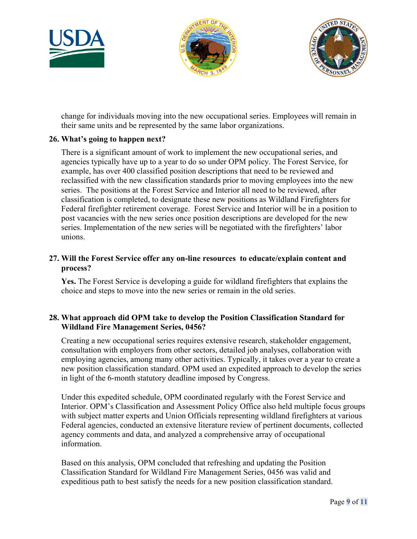





change for individuals moving into the new occupational series. Employees will remain in their same units and be represented by the same labor organizations.

#### **26. What's going to happen next?**

 series. The positions at the Forest Service and Interior all need to be reviewed, after There is a significant amount of work to implement the new occupational series, and agencies typically have up to a year to do so under OPM policy. The Forest Service, for example, has over 400 classified position descriptions that need to be reviewed and reclassified with the new classification standards prior to moving employees into the new classification is completed, to designate these new positions as Wildland Firefighters for Federal firefighter retirement coverage. Forest Service and Interior will be in a position to post vacancies with the new series once position descriptions are developed for the new series. Implementation of the new series will be negotiated with the firefighters' labor unions.

#### **27. Will the Forest Service offer any on-line resources to educate/explain content and process?**

 **Yes.** The Forest Service is developing a guide for wildland firefighters that explains the choice and steps to move into the new series or remain in the old series.

#### **28. What approach did OPM take to develop the Position Classification Standard for Wildland Fire Management Series, 0456?**

Creating a new occupational series requires extensive research, stakeholder engagement, consultation with employers from other sectors, detailed job analyses, collaboration with employing agencies, among many other activities. Typically, it takes over a year to create a new position classification standard. OPM used an expedited approach to develop the series in light of the 6-month statutory deadline imposed by Congress.

 with subject matter experts and Union Officials representing wildland firefighters at various information. Under this expedited schedule, OPM coordinated regularly with the Forest Service and Interior. OPM's Classification and Assessment Policy Office also held multiple focus groups Federal agencies, conducted an extensive literature review of pertinent documents, collected agency comments and data, and analyzed a comprehensive array of occupational

 expeditious path to best satisfy the needs for a new position classification standard. Based on this analysis, OPM concluded that refreshing and updating the Position Classification Standard for Wildland Fire Management Series, 0456 was valid and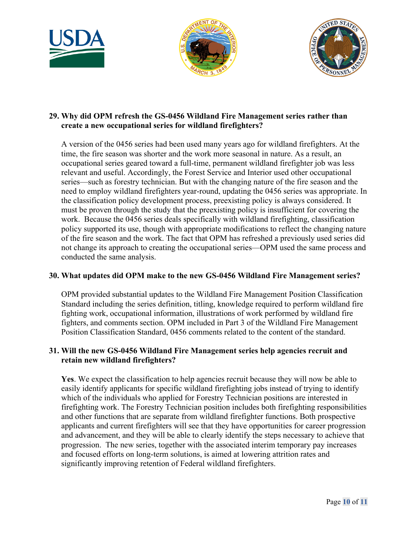





#### **29. Why did OPM refresh the GS-0456 Wildland Fire Management series rather than create a new occupational series for wildland firefighters?**

 work. Because the 0456 series deals specifically with wildland firefighting, classification A version of the 0456 series had been used many years ago for wildland firefighters. At the time, the fire season was shorter and the work more seasonal in nature. As a result, an occupational series geared toward a full-time, permanent wildland firefighter job was less relevant and useful. Accordingly, the Forest Service and Interior used other occupational series—such as forestry technician. But with the changing nature of the fire season and the need to employ wildland firefighters year-round, updating the 0456 series was appropriate. In the classification policy development process, preexisting policy is always considered. It must be proven through the study that the preexisting policy is insufficient for covering the policy supported its use, though with appropriate modifications to reflect the changing nature of the fire season and the work. The fact that OPM has refreshed a previously used series did not change its approach to creating the occupational series—OPM used the same process and conducted the same analysis.

# **30. What updates did OPM make to the new GS-0456 Wildland Fire Management series?**

 Position Classification Standard, 0456 comments related to the content of the standard. OPM provided substantial updates to the Wildland Fire Management Position Classification Standard including the series definition, titling, knowledge required to perform wildland fire fighting work, occupational information, illustrations of work performed by wildland fire fighters, and comments section. OPM included in Part 3 of the Wildland Fire Management

#### **31. Will the new GS-0456 Wildland Fire Management series help agencies recruit and retain new wildland firefighters?**

 easily identify applicants for specific wildland firefighting jobs instead of trying to identify and other functions that are separate from wildland firefighter functions. Both prospective and advancement, and they will be able to clearly identify the steps necessary to achieve that Yes. We expect the classification to help agencies recruit because they will now be able to which of the individuals who applied for Forestry Technician positions are interested in firefighting work. The Forestry Technician position includes both firefighting responsibilities applicants and current firefighters will see that they have opportunities for career progression progression. The new series, together with the associated interim temporary pay increases and focused efforts on long-term solutions, is aimed at lowering attrition rates and significantly improving retention of Federal wildland firefighters.